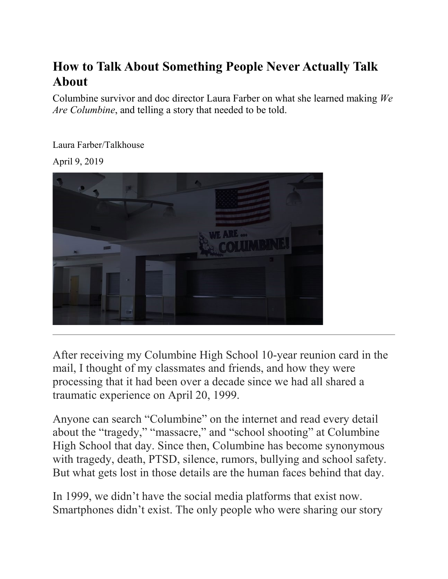## **How to Talk About Something People Never Actually Talk About**

Columbine survivor and doc director Laura Farber on what she learned making *We Are Columbine*, and telling a story that needed to be told.

[Laura](https://www.talkhouse.com/artist/laura-farber/) Farber/Talkhouse

April 9, 2019



After receiving my Columbine High School 10-year reunion card in the mail, I thought of my classmates and friends, and how they were processing that it had been over a decade since we had all shared a traumatic experience on April 20, 1999.

Anyone can search "Columbine" on the internet and read every detail about the "tragedy," "massacre," and "school shooting" at Columbine High School that day. Since then, Columbine has become synonymous with tragedy, death, PTSD, silence, rumors, bullying and school safety. But what gets lost in those details are the human faces behind that day.

In 1999, we didn't have the social media platforms that exist now. Smartphones didn't exist. The only people who were sharing our story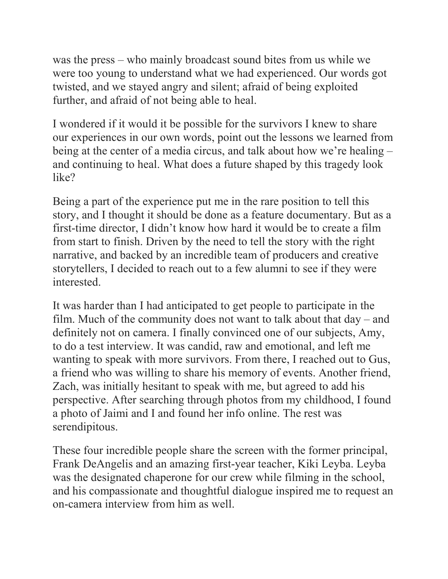was the press – who mainly broadcast sound bites from us while we were too young to understand what we had experienced. Our words got twisted, and we stayed angry and silent; afraid of being exploited further, and afraid of not being able to heal.

I wondered if it would it be possible for the survivors I knew to share our experiences in our own words, point out the lessons we learned from being at the center of a media circus, and talk about how we're healing – and continuing to heal. What does a future shaped by this tragedy look like?

Being a part of the experience put me in the rare position to tell this story, and I thought it should be done as a feature documentary. But as a first-time director, I didn't know how hard it would be to create a film from start to finish. Driven by the need to tell the story with the right narrative, and backed by an incredible team of producers and creative storytellers, I decided to reach out to a few alumni to see if they were interested.

It was harder than I had anticipated to get people to participate in the film. Much of the community does not want to talk about that day – and definitely not on camera. I finally convinced one of our subjects, Amy, to do a test interview. It was candid, raw and emotional, and left me wanting to speak with more survivors. From there, I reached out to Gus, a friend who was willing to share his memory of events. Another friend, Zach, was initially hesitant to speak with me, but agreed to add his perspective. After searching through photos from my childhood, I found a photo of Jaimi and I and found her info online. The rest was serendipitous.

These four incredible people share the screen with the former principal, Frank DeAngelis and an amazing first-year teacher, Kiki Leyba. Leyba was the designated chaperone for our crew while filming in the school, and his compassionate and thoughtful dialogue inspired me to request an on-camera interview from him as well.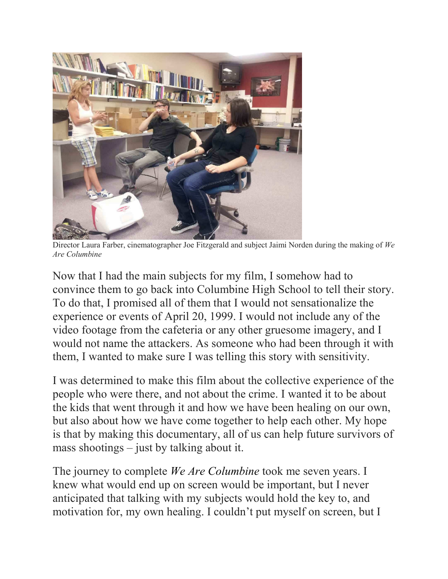

 Director Laura Farber, cinematographer Joe Fitzgerald and subject Jaimi Norden during the making of *We Are Columbine*

Now that I had the main subjects for my film, I somehow had to convince them to go back into Columbine High School to tell their story. To do that, I promised all of them that I would not sensationalize the experience or events of April 20, 1999. I would not include any of the video footage from the cafeteria or any other gruesome imagery, and I would not name the attackers. As someone who had been through it with them, I wanted to make sure I was telling this story with sensitivity.

I was determined to make this film about the collective experience of the people who were there, and not about the crime. I wanted it to be about the kids that went through it and how we have been healing on our own, but also about how we have come together to help each other. My hope is that by making this documentary, all of us can help future survivors of mass shootings – just by talking about it.

The journey to complete *[We Are Columbine](https://www.wearecolumbinefilm.com/)* took me seven years. I knew what would end up on screen would be important, but I never anticipated that talking with my subjects would hold the key to, and motivation for, my own healing. I couldn't put myself on screen, but I